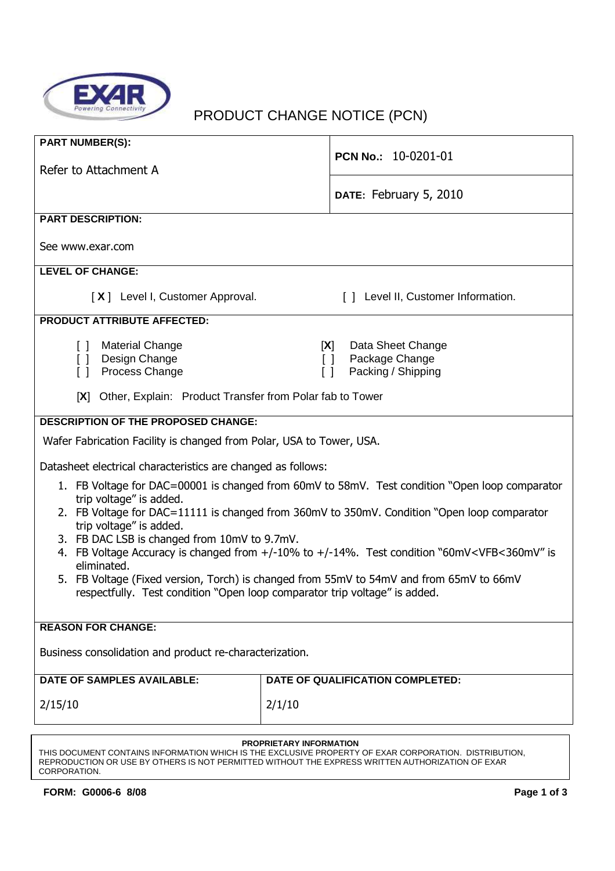

# PRODUCT CHANGE NOTICE (PCN)

| <b>PART NUMBER(S):</b>                                                                                                      |                                                          |  |
|-----------------------------------------------------------------------------------------------------------------------------|----------------------------------------------------------|--|
|                                                                                                                             | PCN No.: 10-0201-01                                      |  |
| Refer to Attachment A                                                                                                       |                                                          |  |
|                                                                                                                             | DATE: February 5, 2010                                   |  |
| <b>PART DESCRIPTION:</b>                                                                                                    |                                                          |  |
| See www.exar.com                                                                                                            |                                                          |  |
| <b>LEVEL OF CHANGE:</b>                                                                                                     |                                                          |  |
| [X] Level I, Customer Approval.                                                                                             | [ ] Level II, Customer Information.                      |  |
| <b>PRODUCT ATTRIBUTE AFFECTED:</b>                                                                                          |                                                          |  |
| <b>Material Change</b><br>$\Box$                                                                                            | Data Sheet Change<br>[X]                                 |  |
| Design Change<br>$\Box$<br>Process Change<br>$\begin{bmatrix} 1 \end{bmatrix}$                                              | Package Change<br>$\Box$<br>Packing / Shipping<br>$\Box$ |  |
|                                                                                                                             |                                                          |  |
| [X] Other, Explain: Product Transfer from Polar fab to Tower                                                                |                                                          |  |
| <b>DESCRIPTION OF THE PROPOSED CHANGE:</b>                                                                                  |                                                          |  |
| Wafer Fabrication Facility is changed from Polar, USA to Tower, USA.                                                        |                                                          |  |
| Datasheet electrical characteristics are changed as follows:                                                                |                                                          |  |
| 1. FB Voltage for DAC=00001 is changed from 60mV to 58mV. Test condition "Open loop comparator                              |                                                          |  |
| trip voltage" is added.<br>2. FB Voltage for DAC=11111 is changed from 360mV to 350mV. Condition "Open loop comparator      |                                                          |  |
| trip voltage" is added.                                                                                                     |                                                          |  |
| 3. FB DAC LSB is changed from 10mV to 9.7mV.                                                                                |                                                          |  |
| 4. FB Voltage Accuracy is changed from +/-10% to +/-14%. Test condition "60mV <vfb<360mv" is<br="">eliminated.</vfb<360mv"> |                                                          |  |
| 5. FB Voltage (Fixed version, Torch) is changed from 55mV to 54mV and from 65mV to 66mV                                     |                                                          |  |
| respectfully. Test condition "Open loop comparator trip voltage" is added.                                                  |                                                          |  |
| <b>REASON FOR CHANGE:</b>                                                                                                   |                                                          |  |
|                                                                                                                             |                                                          |  |
| Business consolidation and product re-characterization.                                                                     |                                                          |  |
| <b>DATE OF SAMPLES AVAILABLE:</b>                                                                                           | DATE OF QUALIFICATION COMPLETED:                         |  |
| 2/15/10                                                                                                                     | 2/1/10                                                   |  |
|                                                                                                                             |                                                          |  |
| PROPRIETARY INFORMATION                                                                                                     |                                                          |  |

#### THIS DOCUMENT CONTAINS INFORMATION WHICH IS THE EXCLUSIVE PROPERTY OF EXAR CORPORATION. DISTRIBUTION, REPRODUCTION OR USE BY OTHERS IS NOT PERMITTED WITHOUT THE EXPRESS WRITTEN AUTHORIZATION OF EXAR CORPORATION.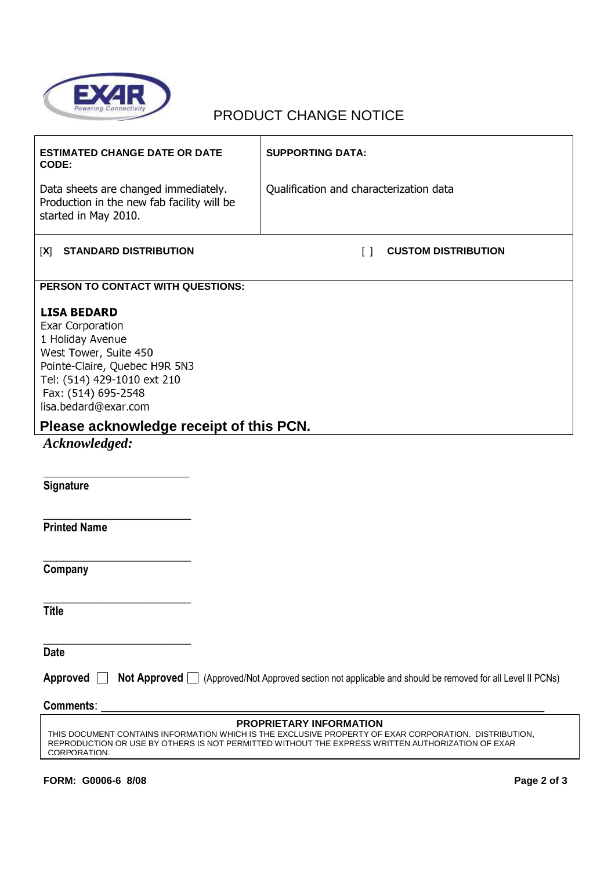

# PRODUCT CHANGE NOTICE

| <b>ESTIMATED CHANGE DATE OR DATE</b><br>CODE:                                                                                                                                                                                                              | <b>SUPPORTING DATA:</b>                         |  |
|------------------------------------------------------------------------------------------------------------------------------------------------------------------------------------------------------------------------------------------------------------|-------------------------------------------------|--|
| Data sheets are changed immediately.<br>Production in the new fab facility will be<br>started in May 2010.                                                                                                                                                 | Qualification and characterization data         |  |
| <b>STANDARD DISTRIBUTION</b><br>[X]                                                                                                                                                                                                                        | <b>CUSTOM DISTRIBUTION</b><br>$\lceil$ $\rceil$ |  |
| PERSON TO CONTACT WITH QUESTIONS:                                                                                                                                                                                                                          |                                                 |  |
| <b>LISA BEDARD</b><br><b>Exar Corporation</b><br>1 Holiday Avenue<br>West Tower, Suite 450<br>Pointe-Claire, Quebec H9R 5N3<br>Tel: (514) 429-1010 ext 210<br>Fax: (514) 695-2548<br>lisa.bedard@exar.com                                                  |                                                 |  |
| Please acknowledge receipt of this PCN.                                                                                                                                                                                                                    |                                                 |  |
| Acknowledged:                                                                                                                                                                                                                                              |                                                 |  |
|                                                                                                                                                                                                                                                            |                                                 |  |
| Signature                                                                                                                                                                                                                                                  |                                                 |  |
| <b>Printed Name</b>                                                                                                                                                                                                                                        |                                                 |  |
| Company                                                                                                                                                                                                                                                    |                                                 |  |
| <b>Title</b>                                                                                                                                                                                                                                               |                                                 |  |
| <b>Date</b>                                                                                                                                                                                                                                                |                                                 |  |
| Approved $\Box$<br>Not Approved □ (Approved/Not Approved section not applicable and should be removed for all Level II PCNs)                                                                                                                               |                                                 |  |
| <b>Comments:</b>                                                                                                                                                                                                                                           |                                                 |  |
| <b>PROPRIETARY INFORMATION</b><br>THIS DOCUMENT CONTAINS INFORMATION WHICH IS THE EXCLUSIVE PROPERTY OF EXAR CORPORATION. DISTRIBUTION,<br>REPRODUCTION OR USE BY OTHERS IS NOT PERMITTED WITHOUT THE EXPRESS WRITTEN AUTHORIZATION OF EXAR<br>CORPORATION |                                                 |  |